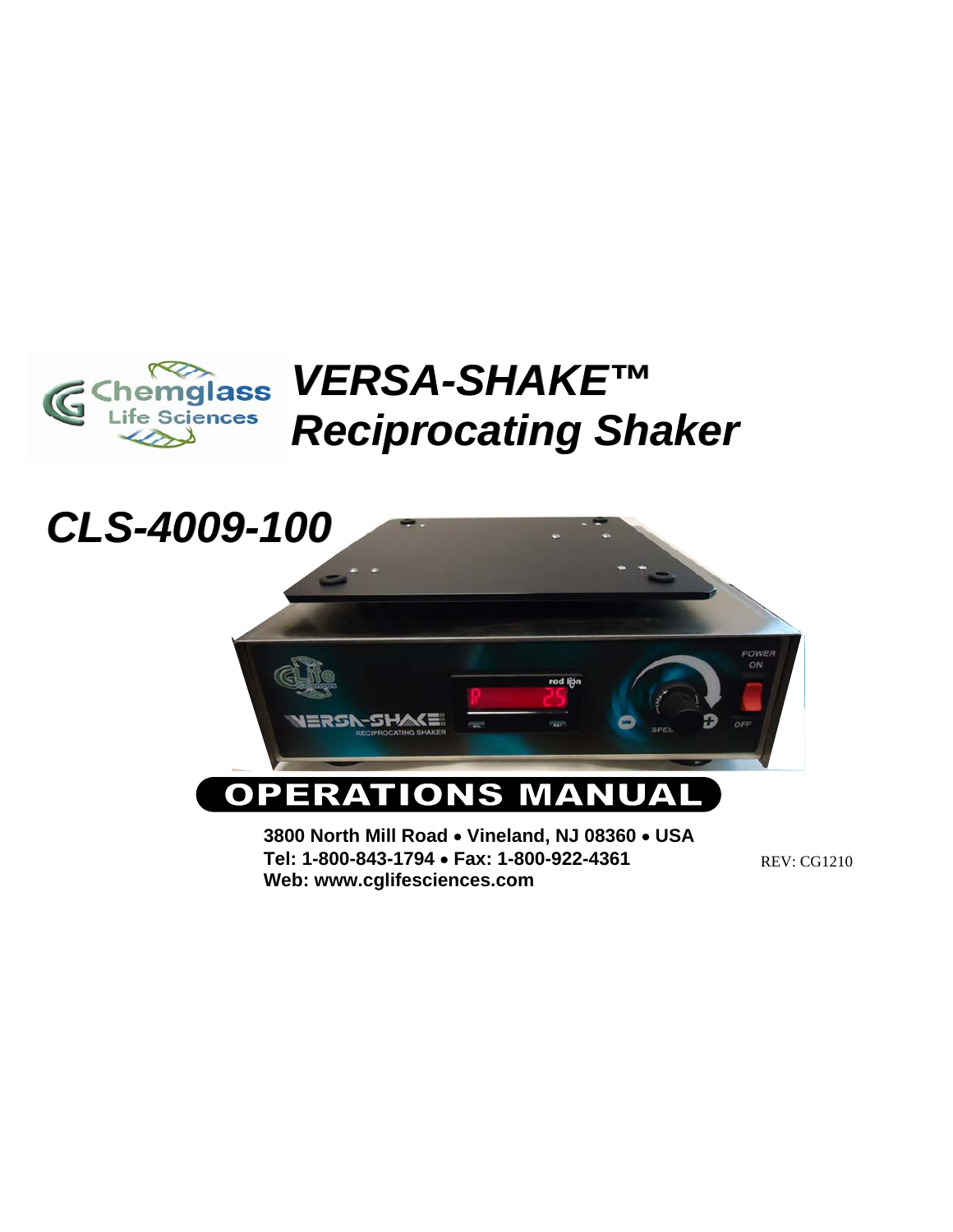

# *VERSA-SHAKE™ SHAKE™ Reciprocating Shaker Reciprocating Shaker*



**Web: www.cglifesciences.com**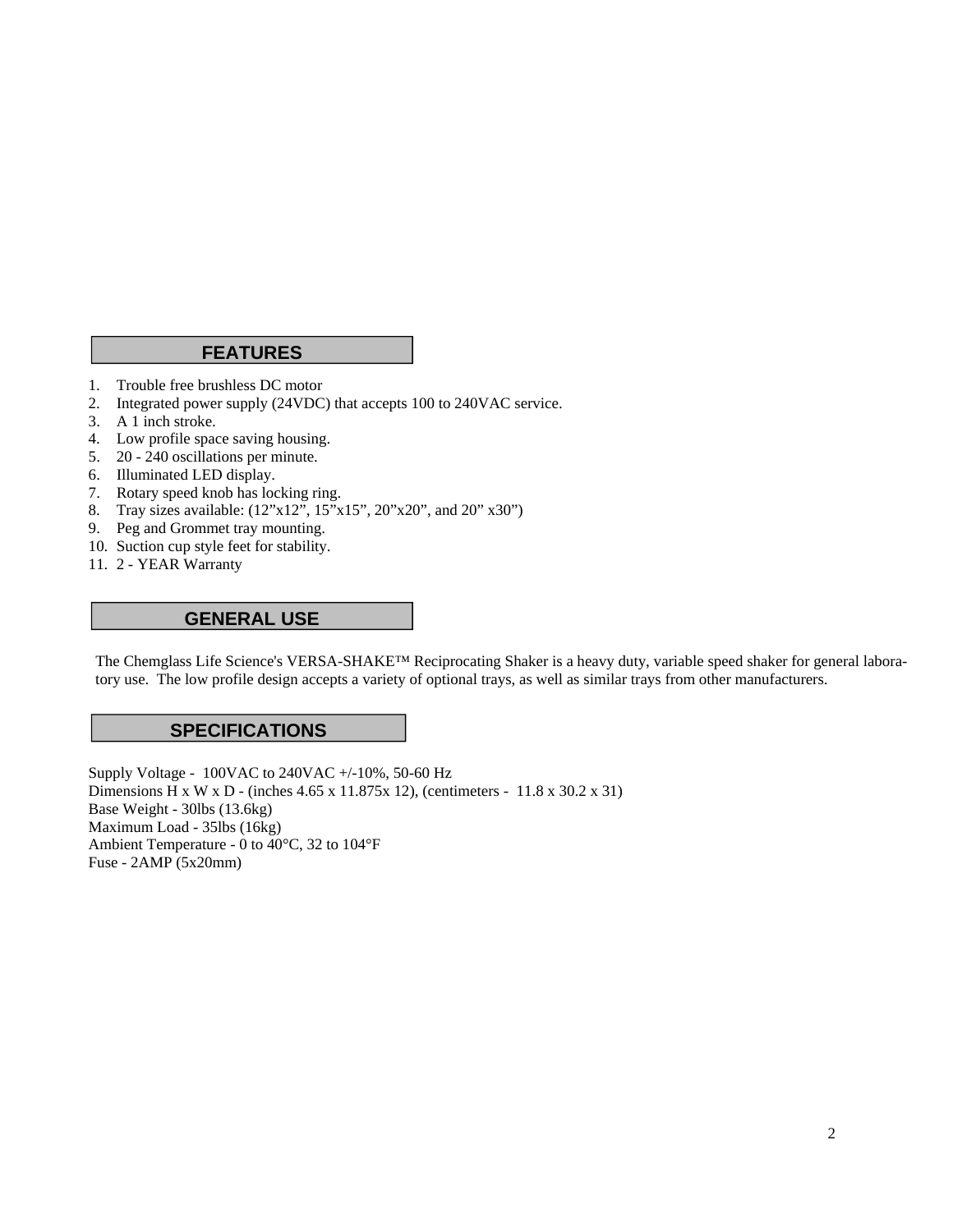### **FEATURES**

- 1. Trouble free brushless DC motor
- 2. Integrated power supply (24VDC) that accepts 100 to 240VAC service.
- 3. A 1 inch stroke.
- 4. Low profile space saving housing.
- 5. 20 240 oscillations per minute.
- 6. Illuminated LED display.
- 7. Rotary speed knob has locking ring.
- 8. Tray sizes available: (12"x12", 15"x15", 20"x20", and 20" x30")
- 9. Peg and Grommet tray mounting.
- 10. Suction cup style feet for stability.
- 11. 2 YEAR Warranty

#### **GENERAL USE**

The Chemglass Life Science's VERSA-SHAKE™ Reciprocating Shaker is a heavy duty, variable speed shaker for general laboratory use. The low profile design accepts a variety of optional trays, as well as similar trays from other manufacturers.

#### **SPECIFICATIONS**

Supply Voltage - 100VAC to 240VAC +/-10%, 50-60 Hz Dimensions H x W x D - (inches 4.65 x 11.875x 12), (centimeters - 11.8 x 30.2 x 31) Base Weight - 30lbs (13.6kg) Maximum Load - 35lbs (16kg) Ambient Temperature - 0 to 40°C, 32 to 104°F Fuse - 2AMP (5x20mm)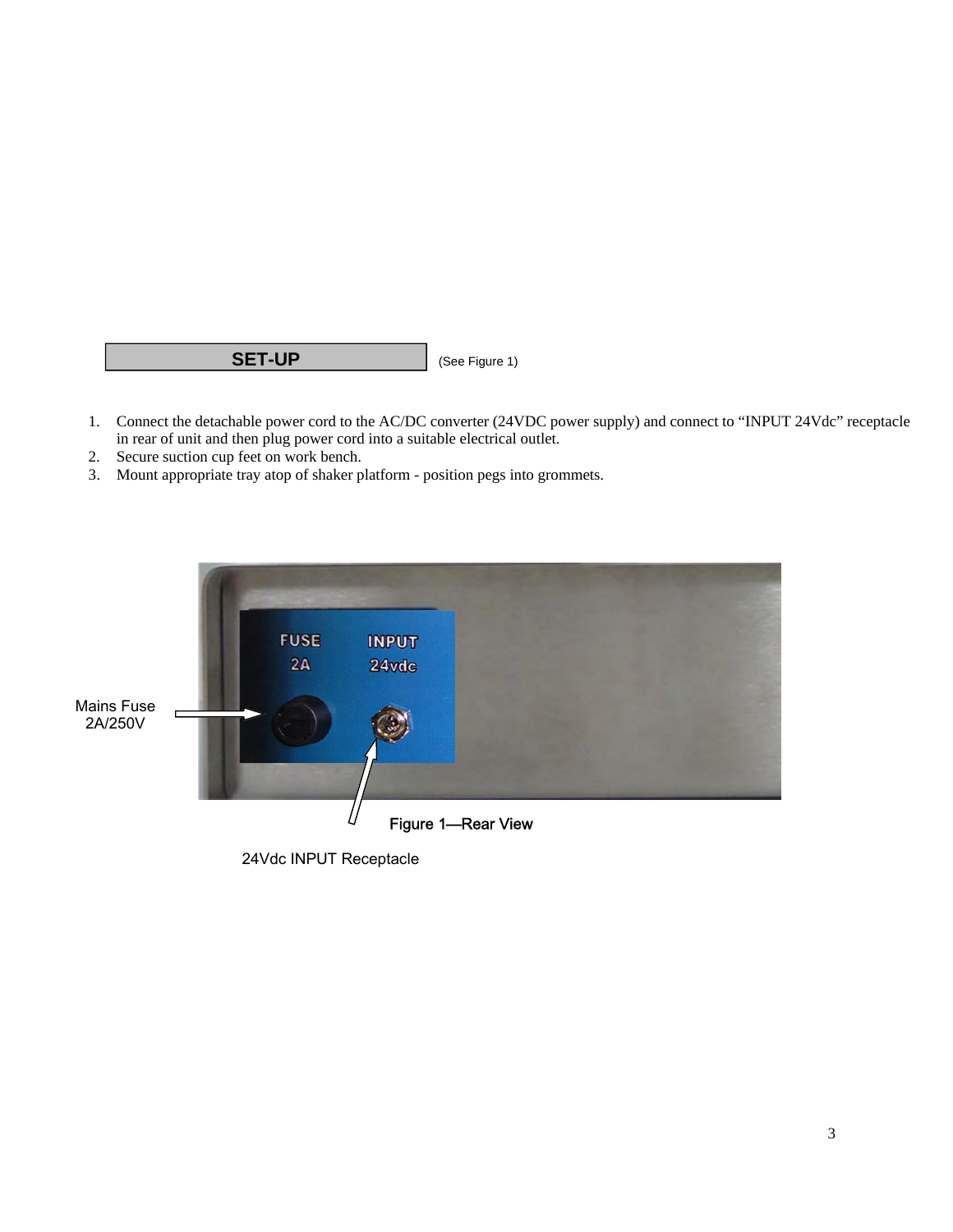## **SET-UP** (See Figure 1)

- 1. Connect the detachable power cord to the AC/DC converter (24VDC power supply) and connect to "INPUT 24Vdc" receptacle in rear of unit and then plug power cord into a suitable electrical outlet.
- 2. Secure suction cup feet on work bench.
- 3. Mount appropriate tray atop of shaker platform position pegs into grommets.



24Vdc INPUT Receptacle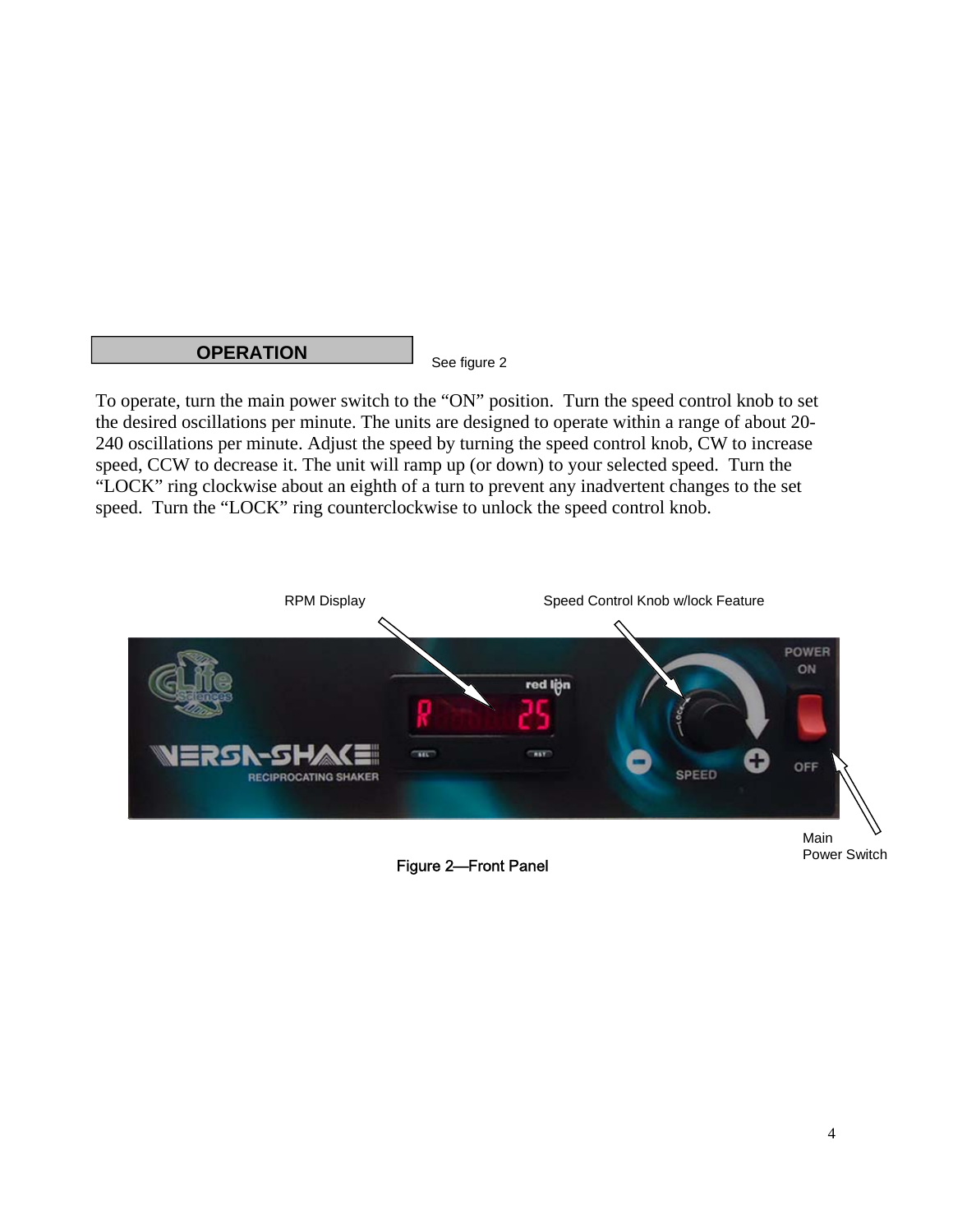#### **OPERATION**

See figure 2

To operate, turn the main power switch to the "ON" position. Turn the speed control knob to set the desired oscillations per minute. The units are designed to operate within a range of about 20- 240 oscillations per minute. Adjust the speed by turning the speed control knob, CW to increase speed, CCW to decrease it. The unit will ramp up (or down) to your selected speed. Turn the "LOCK" ring clockwise about an eighth of a turn to prevent any inadvertent changes to the set speed. Turn the "LOCK" ring counterclockwise to unlock the speed control knob.